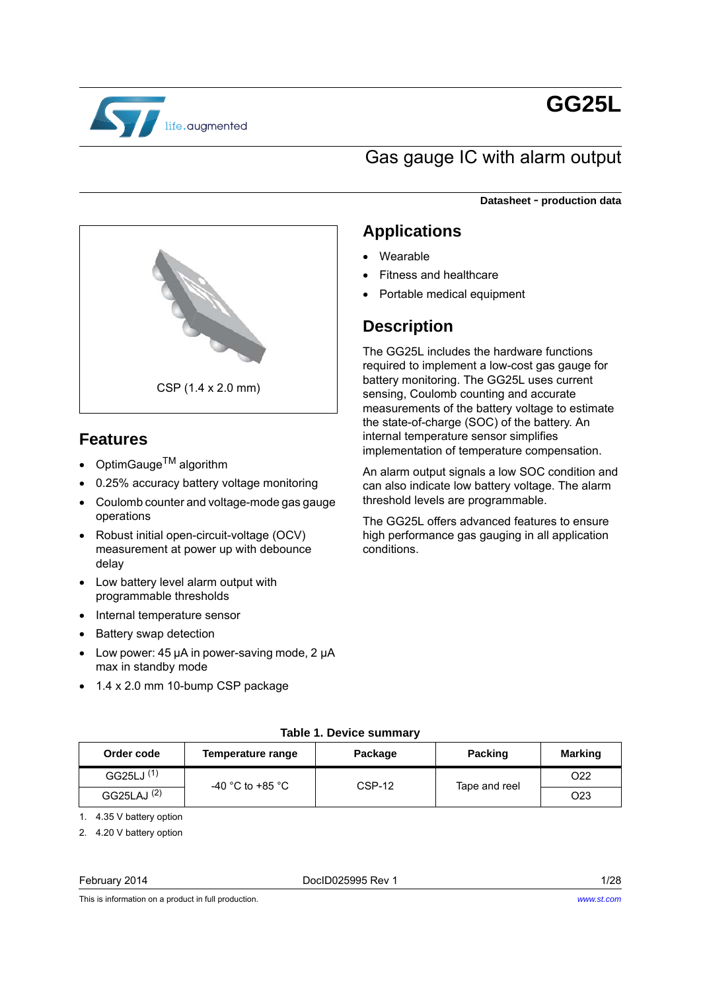

# **GG25L**

## Gas gauge IC with alarm output

**Datasheet** - **production data**



## **Features**

- OptimGauge<sup>TM</sup> algorithm
- 0.25% accuracy battery voltage monitoring
- Coulomb counter and voltage-mode gas gauge operations
- Robust initial open-circuit-voltage (OCV) measurement at power up with debounce delay
- Low battery level alarm output with programmable thresholds
- Internal temperature sensor
- Battery swap detection
- Low power: 45 µA in power-saving mode, 2 µA max in standby mode
- 1.4 x 2.0 mm 10-bump CSP package

## **Applications**

- Wearable
- Fitness and healthcare
- Portable medical equipment

## **Description**

The GG25L includes the hardware functions required to implement a low-cost gas gauge for battery monitoring. The GG25L uses current sensing, Coulomb counting and accurate measurements of the battery voltage to estimate the state-of-charge (SOC) of the battery. An internal temperature sensor simplifies implementation of temperature compensation.

An alarm output signals a low SOC condition and can also indicate low battery voltage. The alarm threshold levels are programmable.

The GG25L offers advanced features to ensure high performance gas gauging in all application conditions.

| Order code             | Temperature range | Package  | <b>Packing</b> | <b>Marking</b>  |  |
|------------------------|-------------------|----------|----------------|-----------------|--|
| GG25LJ <sup>(1)</sup>  | -40 °C to +85 °C  | $CSP-12$ | Tape and reel  | O <sub>22</sub> |  |
| GG25LAJ <sup>(2)</sup> |                   |          |                | O <sub>23</sub> |  |

**Table 1. Device summary**

1. 4.35 V battery option

2. 4.20 V battery option

#### February 2014 DocID025995 Rev 1 1/28

This is information on a product in full production.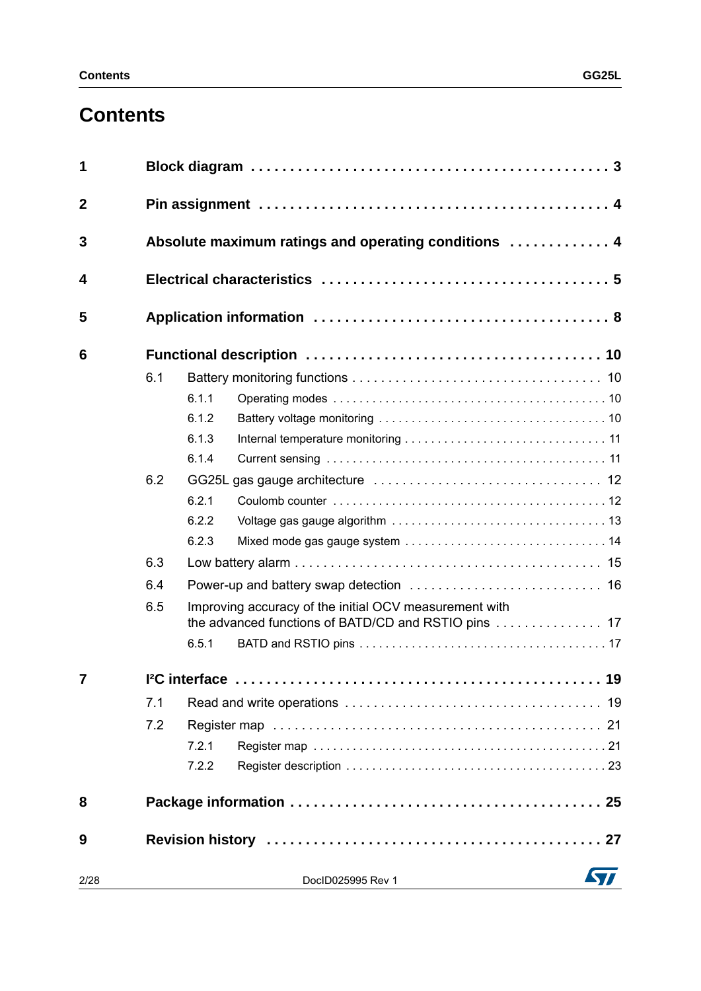## **Contents**

| 1                |     |       |                                                        |  |  |  |  |
|------------------|-----|-------|--------------------------------------------------------|--|--|--|--|
| $\boldsymbol{2}$ |     |       |                                                        |  |  |  |  |
| 3                |     |       | Absolute maximum ratings and operating conditions  4   |  |  |  |  |
| 4                |     |       |                                                        |  |  |  |  |
| 5                |     |       |                                                        |  |  |  |  |
| 6                |     |       |                                                        |  |  |  |  |
|                  | 6.1 |       |                                                        |  |  |  |  |
|                  |     | 6.1.1 |                                                        |  |  |  |  |
|                  |     | 6.1.2 |                                                        |  |  |  |  |
|                  |     | 6.1.3 |                                                        |  |  |  |  |
|                  |     | 6.1.4 |                                                        |  |  |  |  |
|                  | 6.2 |       |                                                        |  |  |  |  |
|                  |     | 6.2.1 |                                                        |  |  |  |  |
|                  |     | 6.2.2 |                                                        |  |  |  |  |
|                  |     | 6.2.3 |                                                        |  |  |  |  |
|                  | 6.3 |       |                                                        |  |  |  |  |
|                  | 6.4 |       |                                                        |  |  |  |  |
|                  | 6.5 |       | Improving accuracy of the initial OCV measurement with |  |  |  |  |
|                  |     | 6.5.1 |                                                        |  |  |  |  |
| 7                |     |       |                                                        |  |  |  |  |
|                  | 7.1 |       |                                                        |  |  |  |  |
|                  | 7.2 |       |                                                        |  |  |  |  |
|                  |     | 7.2.1 |                                                        |  |  |  |  |
|                  |     | 7.2.2 |                                                        |  |  |  |  |
| 8                |     |       |                                                        |  |  |  |  |
| 9                |     |       |                                                        |  |  |  |  |
| 2/28             |     |       | DocID025995 Rev 1                                      |  |  |  |  |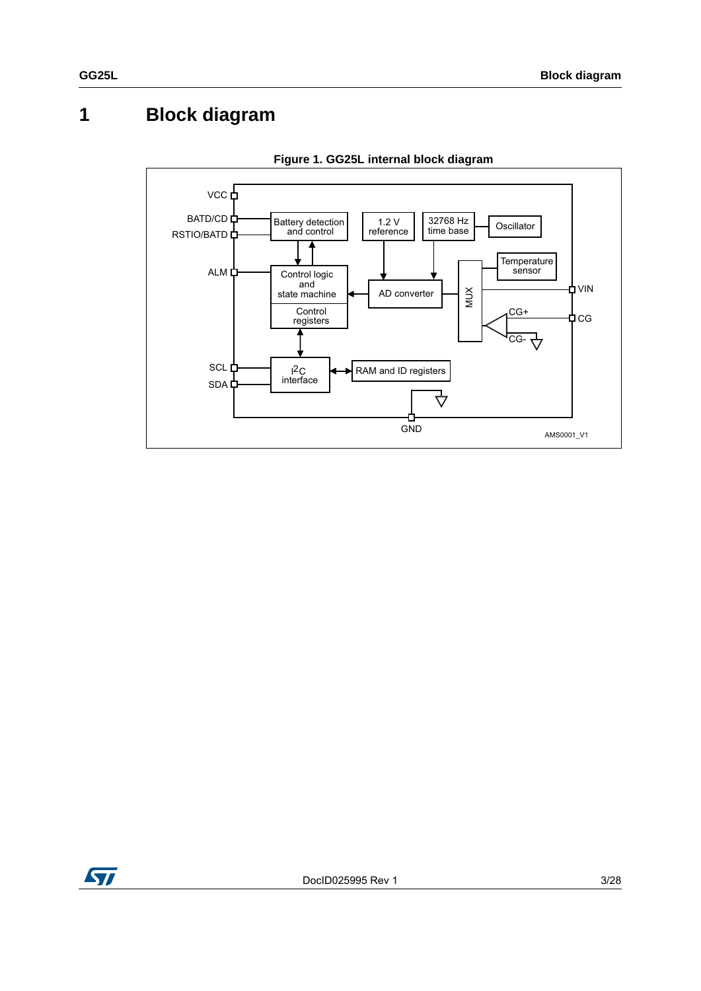## <span id="page-2-0"></span>**1 Block diagram**



**Figure 1. GG25L internal block diagram**

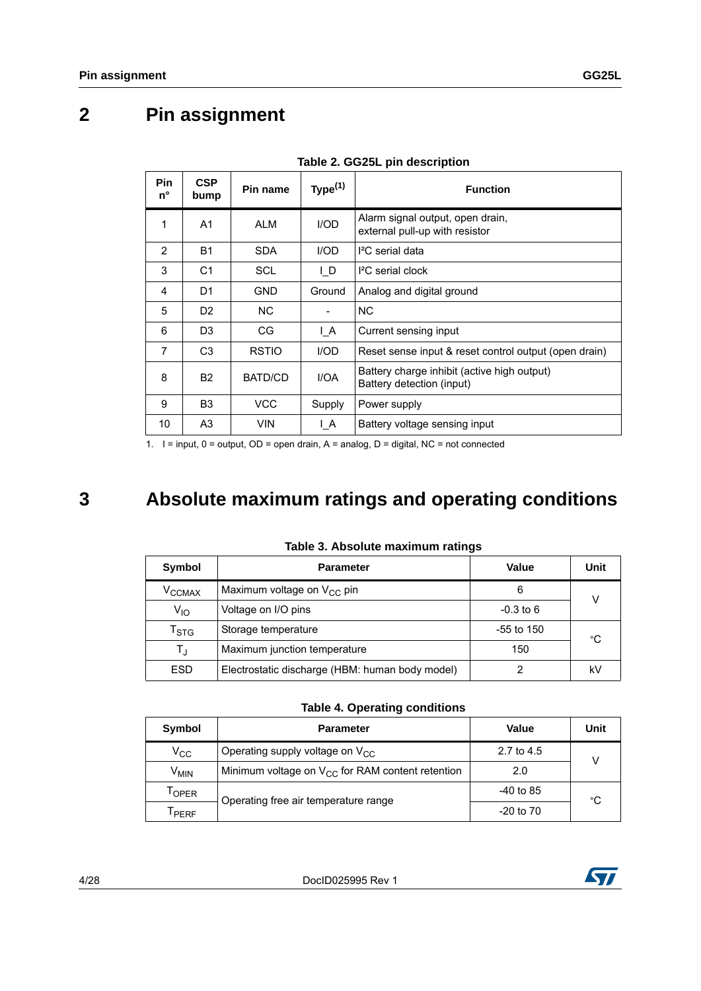## <span id="page-3-0"></span>**2 Pin assignment**

| <b>Pin</b><br>$n^{\circ}$ | <b>CSP</b><br>bump | Pin name     | Type <sup>(1)</sup>          | <b>Function</b>                                                          |  |
|---------------------------|--------------------|--------------|------------------------------|--------------------------------------------------------------------------|--|
| 1                         | A <sub>1</sub>     | <b>ALM</b>   | I/OD                         | Alarm signal output, open drain,<br>external pull-up with resistor       |  |
| $\overline{2}$            | <b>B1</b>          | <b>SDA</b>   | I/OD                         | $I2C$ serial data                                                        |  |
| 3                         | C <sub>1</sub>     | SCL          | $\mathsf{L}$                 | <sup>2</sup> C serial clock                                              |  |
| 4                         | D <sub>1</sub>     | GND          | Ground                       | Analog and digital ground                                                |  |
| 5                         | D <sub>2</sub>     | NC.          | $\qquad \qquad \blacksquare$ | NC.                                                                      |  |
| 6                         | D <sub>3</sub>     | CG           | ΙA                           | Current sensing input                                                    |  |
| 7                         | C <sub>3</sub>     | <b>RSTIO</b> | I/OD                         | Reset sense input & reset control output (open drain)                    |  |
| 8                         | <b>B2</b>          | BATD/CD      | I/OA                         | Battery charge inhibit (active high output)<br>Battery detection (input) |  |
| 9                         | B <sub>3</sub>     | <b>VCC</b>   | Supply                       | Power supply                                                             |  |
| 10                        | A <sub>3</sub>     | <b>VIN</b>   | ΙA                           | Battery voltage sensing input                                            |  |

1.  $I = input$ ,  $0 = output$ ,  $OD = open$  drain,  $A = analog$ ,  $D = digital$ ,  $NC = not$  connected

## <span id="page-3-1"></span>**3 Absolute maximum ratings and operating conditions**

| lable J. Absolute maximum ratings |                                                 |              |      |  |  |  |
|-----------------------------------|-------------------------------------------------|--------------|------|--|--|--|
| Symbol                            | <b>Parameter</b>                                | Value        | Unit |  |  |  |
| $V_{CCMAX}$                       | Maximum voltage on $V_{CC}$ pin                 | 6            | v    |  |  |  |
| $V_{10}$                          | Voltage on I/O pins                             | $-0.3$ to 6  |      |  |  |  |
| $\mathsf{T}_{\textsf{STG}}$       | Storage temperature                             | $-55$ to 150 | °C   |  |  |  |
| $\mathsf{T}_4$                    | Maximum junction temperature                    | 150          |      |  |  |  |
| <b>ESD</b>                        | Electrostatic discharge (HBM: human body model) |              | k٧   |  |  |  |

**Table 3. Absolute maximum ratings**

#### **Table 4. Operating conditions**

| Symbol           | <b>Parameter</b>                                      | <b>Value</b>  | Unit |  |
|------------------|-------------------------------------------------------|---------------|------|--|
| $V_{\rm CC}$     | Operating supply voltage on V <sub>CC</sub>           | 2.7 to 4.5    |      |  |
| V <sub>MIN</sub> | Minimum voltage on $V_{CC}$ for RAM content retention | 2.0           |      |  |
| <b>LOPER</b>     | Operating free air temperature range                  | $-40$ to 85   | °C   |  |
| PERF             |                                                       | $-20$ to $70$ |      |  |

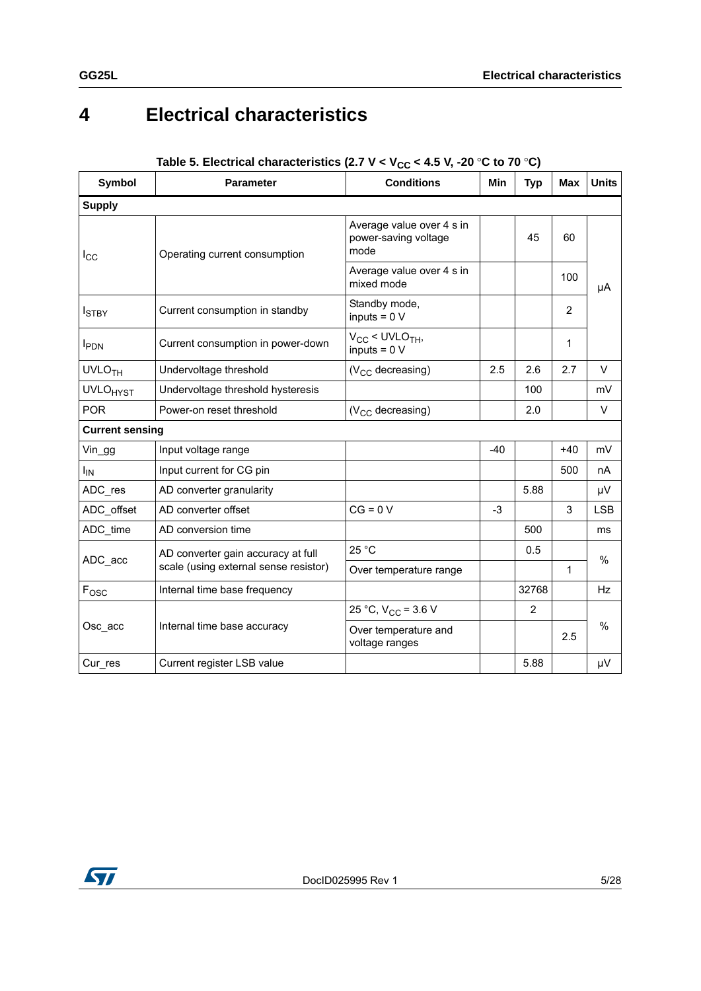## <span id="page-4-0"></span>**4 Electrical characteristics**

| <b>Symbol</b><br><b>Parameter</b> |                                       | <b>Conditions</b>                                         | <b>Min</b> | <b>Typ</b>     | <b>Max</b>     | <b>Units</b>    |
|-----------------------------------|---------------------------------------|-----------------------------------------------------------|------------|----------------|----------------|-----------------|
| <b>Supply</b>                     |                                       |                                                           |            |                |                |                 |
| $I_{\rm CC}$                      | Operating current consumption         | Average value over 4 s in<br>power-saving voltage<br>mode |            | 45             | 60             |                 |
|                                   |                                       | Average value over 4 s in<br>mixed mode                   |            |                | 100            | μA              |
| <b>I</b> STBY                     | Current consumption in standby        | Standby mode,<br>inputs = $0 V$                           |            |                | $\overline{2}$ |                 |
| <b>I</b> PDN                      | Current consumption in power-down     | $V_{CC}$ < UVLO <sub>TH</sub> ,<br>inputs = $0 V$         |            |                | 1              |                 |
| <b>UVLO<sub>TH</sub></b>          | Undervoltage threshold                | $(V_{CC}$ decreasing)                                     | 2.5        | 2.6            | 2.7            | V               |
| <b>UVLO<sub>HYST</sub></b>        | Undervoltage threshold hysteresis     |                                                           |            | 100            |                | mV              |
| <b>POR</b>                        | Power-on reset threshold              | (V <sub>CC</sub> decreasing)                              |            | 2.0            |                | $\vee$          |
| <b>Current sensing</b>            |                                       |                                                           |            |                |                |                 |
| Vin_gg                            | Input voltage range                   |                                                           | $-40$      |                | $+40$          | mV              |
| Ι <sub>IN</sub>                   | Input current for CG pin              |                                                           |            |                | 500            | nA              |
| ADC_res                           | AD converter granularity              |                                                           |            | 5.88           |                | μV              |
| ADC_offset                        | AD converter offset                   | $CG = 0 V$                                                | -3         |                | 3              | <b>LSB</b>      |
| ADC time                          | AD conversion time                    |                                                           |            | 500            |                | ms              |
| ADC_acc                           | AD converter gain accuracy at full    | 25 °C                                                     |            | 0.5            |                | $\frac{0}{0}$   |
|                                   | scale (using external sense resistor) | Over temperature range                                    |            |                | 1              |                 |
| $F_{\rm OSC}$                     | Internal time base frequency          |                                                           |            | 32768          |                | <b>Hz</b>       |
|                                   |                                       | 25 °C, $V_{CC}$ = 3.6 V                                   |            | $\overline{2}$ |                |                 |
| Osc acc                           | Internal time base accuracy           | Over temperature and<br>voltage ranges                    |            |                | $\%$<br>2.5    |                 |
| Cur res                           | Current register LSB value            |                                                           |            | 5.88           |                | $\mu\mathrm{V}$ |

### Table 5. Electrical characteristics (2.7 V <  $V_{CC}$  < 4.5 V, -20 °C to 70 °C)

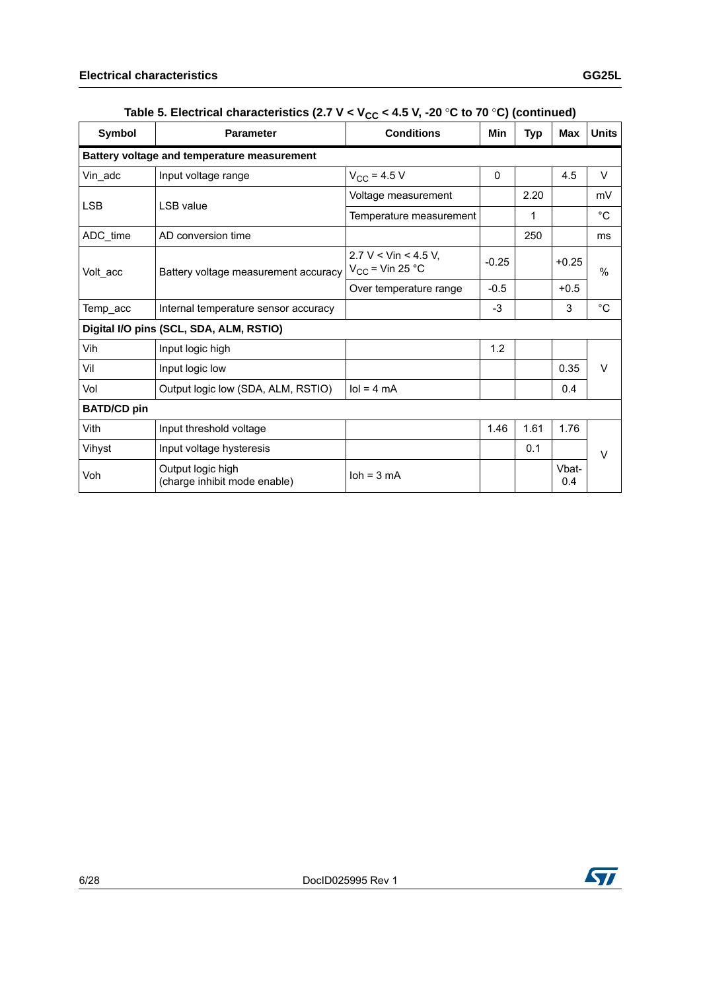| <b>Symbol</b>                             | <b>Parameter</b>                                                                                  | <b>Conditions</b>          | Min      | <b>Typ</b> | <b>Max</b>    | <b>Units</b> |
|-------------------------------------------|---------------------------------------------------------------------------------------------------|----------------------------|----------|------------|---------------|--------------|
|                                           | Battery voltage and temperature measurement                                                       |                            |          |            |               |              |
| Vin_adc                                   | Input voltage range                                                                               | $V_{CC}$ = 4.5 V           | $\Omega$ |            | 4.5           | V            |
| <b>LSB</b>                                | LSB value                                                                                         | Voltage measurement        |          | 2.20       |               | mV           |
|                                           |                                                                                                   | Temperature measurement    |          | 1          |               | $^{\circ}C$  |
| ADC_time                                  | AD conversion time                                                                                |                            |          | 250        |               | ms           |
| Volt_acc                                  | $2.7 V <$ Vin < 4.5 V.<br>$-0.25$<br>$V_{CC}$ = Vin 25 °C<br>Battery voltage measurement accuracy |                            |          | $+0.25$    | $\frac{0}{0}$ |              |
|                                           |                                                                                                   | Over temperature range     | $-0.5$   |            | $+0.5$        |              |
| Temp_acc                                  | Internal temperature sensor accuracy                                                              |                            | $-3$     |            | 3             | $^{\circ}$ C |
|                                           | Digital I/O pins (SCL, SDA, ALM, RSTIO)                                                           |                            |          |            |               |              |
| Vih                                       | Input logic high                                                                                  |                            | 1.2      |            |               |              |
| Vil                                       | Input logic low                                                                                   |                            |          |            | 0.35          | V            |
| Vol<br>Output logic low (SDA, ALM, RSTIO) |                                                                                                   | $\text{Io} = 4 \text{ mA}$ |          |            | 0.4           |              |
| <b>BATD/CD pin</b>                        |                                                                                                   |                            |          |            |               |              |
| Vith                                      | Input threshold voltage                                                                           |                            | 1.46     | 1.61       | 1.76          |              |
| Vihyst                                    | Input voltage hysteresis                                                                          |                            |          | 0.1        |               | V            |
| Voh                                       | Output logic high<br>(charge inhibit mode enable)                                                 | $\lambda$ = 3 mA           |          |            | Vbat-<br>0.4  |              |

### Table 5. Electrical characteristics (2.7  $V < V_{CC} < 4.5$  V, -20 °C to 70 °C) (continued)

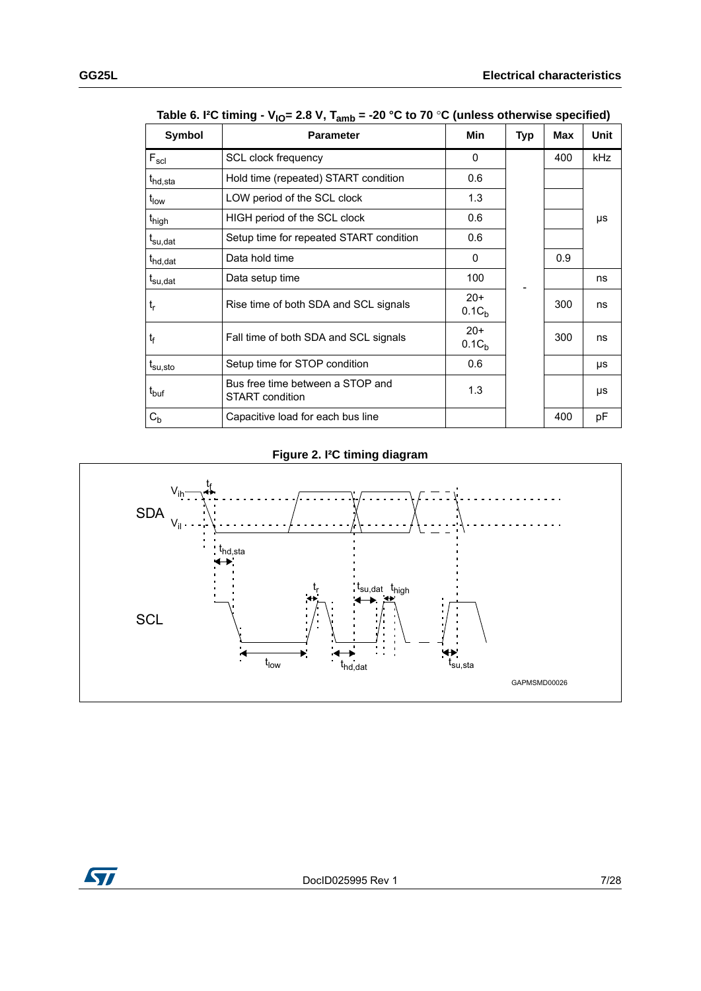| Symbol              | <b>Parameter</b>                                           | Min                        | Typ | Max | Unit |
|---------------------|------------------------------------------------------------|----------------------------|-----|-----|------|
| $F_{\rm scl}$       | <b>SCL clock frequency</b>                                 | $\Omega$                   |     | 400 | kHz  |
| t <sub>hd,sta</sub> | Hold time (repeated) START condition                       | 0.6                        |     |     |      |
| $t_{\text{low}}$    | LOW period of the SCL clock                                | 1.3                        |     |     |      |
| t <sub>high</sub>   | HIGH period of the SCL clock                               | 0.6                        |     |     | μs   |
| t <sub>su,dat</sub> | Setup time for repeated START condition                    | 0.6                        |     |     |      |
| t <sub>hd,dat</sub> | Data hold time                                             | 0                          |     | 0.9 |      |
| t <sub>su,dat</sub> | Data setup time                                            | 100                        |     |     | ns   |
| $t_{r}$             | Rise time of both SDA and SCL signals                      | $20+$<br>0.1C <sub>h</sub> |     | 300 | ns   |
| t                   | Fall time of both SDA and SCL signals                      | $20+$<br>0.1C <sub>b</sub> |     | 300 | ns   |
| $t_{\rm su,sto}$    | Setup time for STOP condition                              | 0.6                        |     |     | μs   |
| $t_{\text{buf}}$    | Bus free time between a STOP and<br><b>START</b> condition | 1.3                        |     |     | μs   |
| $C_{b}$             | Capacitive load for each bus line                          |                            |     | 400 | pF   |

Table 6. I<sup>2</sup>C timing - V<sub>IO</sub>= 2.8 V, T<sub>amb</sub> = -20 °C to 70 °C (unless otherwise specified)

### **Figure 2. I²C timing diagram**



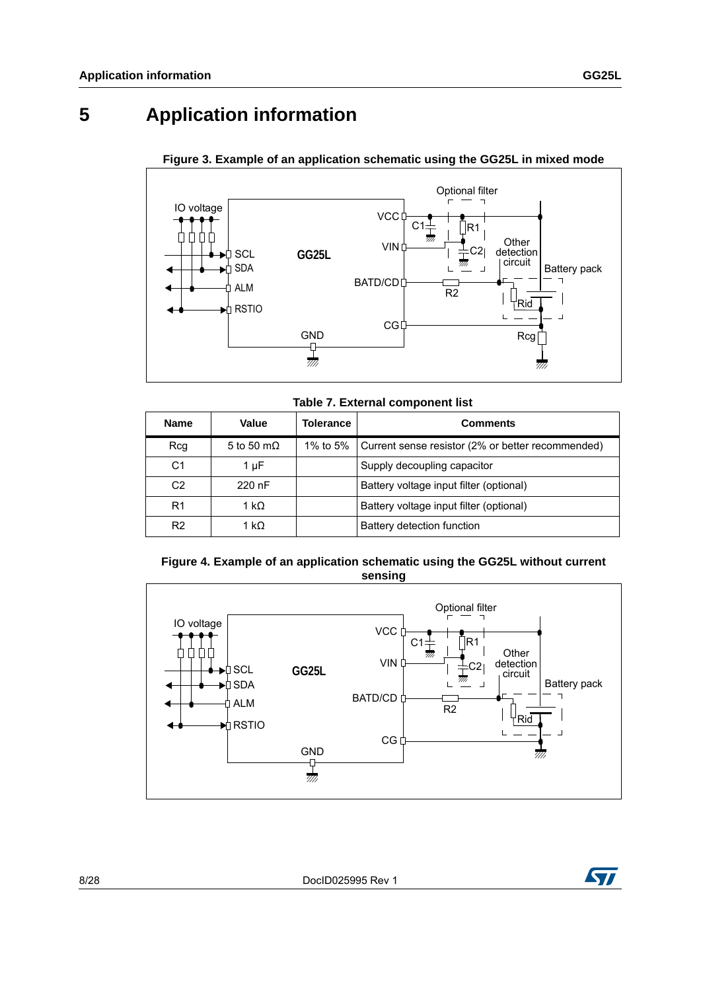## <span id="page-7-0"></span>**5 Application information**



#### **Figure 3. Example of an application schematic using the GG25L in mixed mode**

**Table 7. External component list**

| <b>Name</b>    | Value              | Tolerance | <b>Comments</b>                                   |
|----------------|--------------------|-----------|---------------------------------------------------|
| Rcq            | 5 to 50 m $\Omega$ | 1% to 5%  | Current sense resistor (2% or better recommended) |
| C <sub>1</sub> | 1 µF               |           | Supply decoupling capacitor                       |
| C <sub>2</sub> | 220 nF             |           | Battery voltage input filter (optional)           |
| R <sub>1</sub> | 1 kΩ               |           | Battery voltage input filter (optional)           |
| R <sub>2</sub> | 1 kΩ               |           | Battery detection function                        |





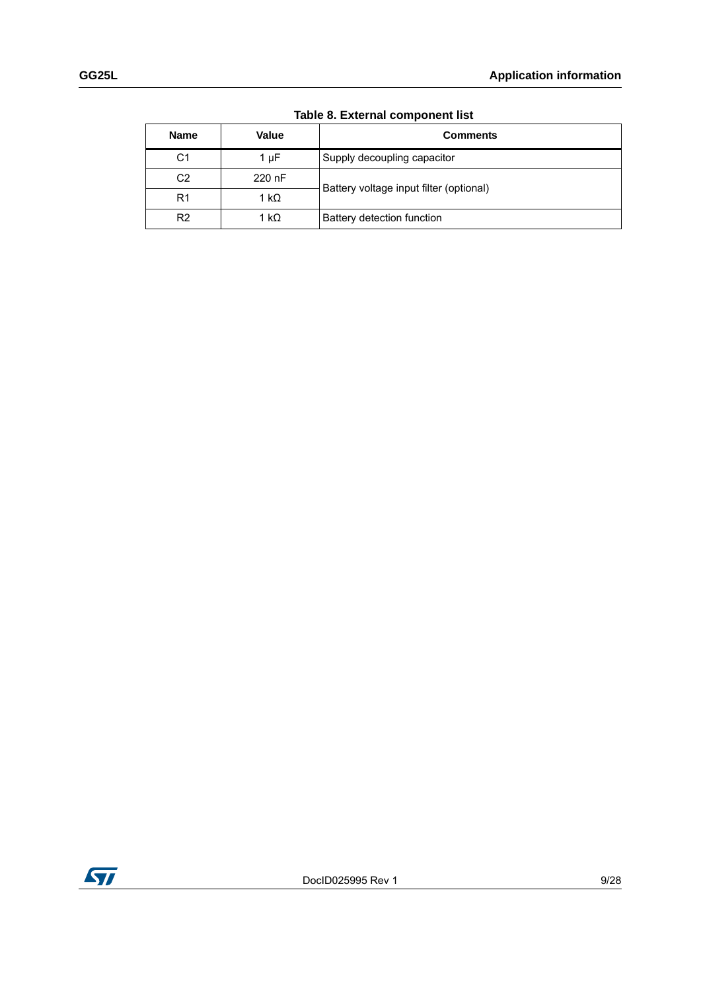| <b>Name</b>    | <b>Value</b> | <b>Comments</b>                         |  |  |
|----------------|--------------|-----------------------------------------|--|--|
| C1             | 1 µF         | Supply decoupling capacitor             |  |  |
| C <sub>2</sub> | 220 nF       | Battery voltage input filter (optional) |  |  |
| R <sub>1</sub> | 1 kΩ         |                                         |  |  |
| R <sub>2</sub> | 1 kΩ         | Battery detection function              |  |  |

**Table 8. External component list**

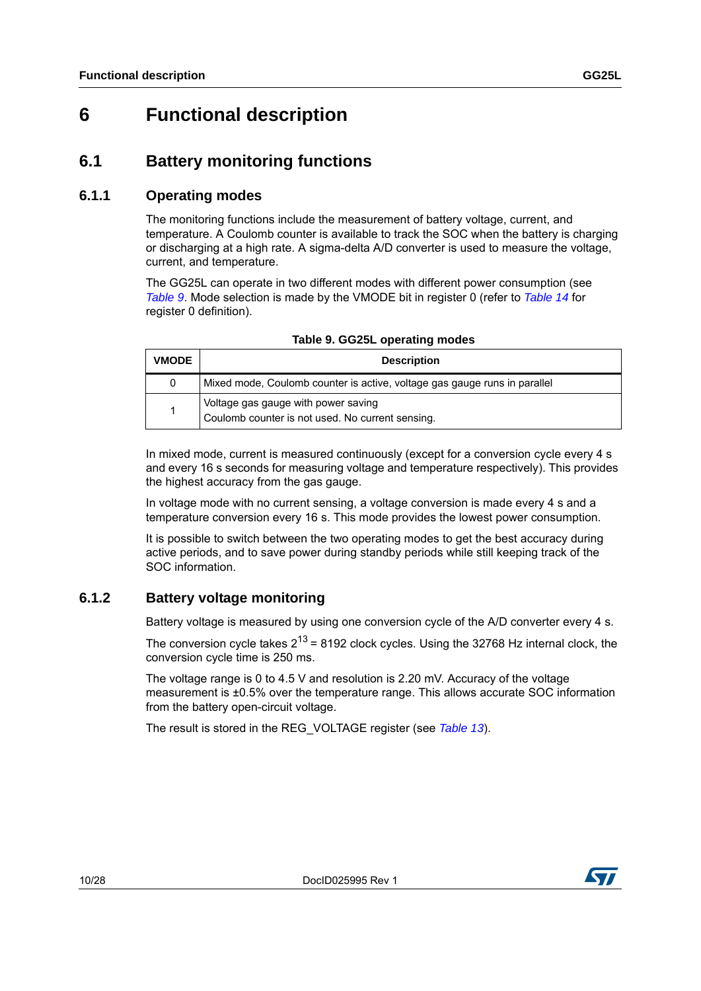## <span id="page-9-0"></span>**6 Functional description**

### <span id="page-9-1"></span>**6.1 Battery monitoring functions**

#### <span id="page-9-2"></span>**6.1.1 Operating modes**

The monitoring functions include the measurement of battery voltage, current, and temperature. A Coulomb counter is available to track the SOC when the battery is charging or discharging at a high rate. A sigma-delta A/D converter is used to measure the voltage, current, and temperature.

The GG25L can operate in two different modes with different power consumption (see *[Table](#page-9-4) 9*. Mode selection is made by the VMODE bit in register 0 (refer to *[Table](#page-22-1) 14* for register 0 definition).

<span id="page-9-4"></span>

| <b>VMODE</b> | <b>Description</b>                                                                      |
|--------------|-----------------------------------------------------------------------------------------|
| 0            | Mixed mode, Coulomb counter is active, voltage gas gauge runs in parallel               |
|              | Voltage gas gauge with power saving<br>Coulomb counter is not used. No current sensing. |

| Table 9. GG25L operating modes |  |  |
|--------------------------------|--|--|
|--------------------------------|--|--|

In mixed mode, current is measured continuously (except for a conversion cycle every 4 s and every 16 s seconds for measuring voltage and temperature respectively). This provides the highest accuracy from the gas gauge.

In voltage mode with no current sensing, a voltage conversion is made every 4 s and a temperature conversion every 16 s. This mode provides the lowest power consumption.

It is possible to switch between the two operating modes to get the best accuracy during active periods, and to save power during standby periods while still keeping track of the SOC information.

#### <span id="page-9-3"></span>**6.1.2 Battery voltage monitoring**

Battery voltage is measured by using one conversion cycle of the A/D converter every 4 s.

The conversion cycle takes  $2^{13}$  = 8192 clock cycles. Using the 32768 Hz internal clock, the conversion cycle time is 250 ms.

The voltage range is 0 to 4.5 V and resolution is 2.20 mV. Accuracy of the voltage measurement is ±0.5% over the temperature range. This allows accurate SOC information from the battery open-circuit voltage.

The result is stored in the REG\_VOLTAGE register (see *[Table](#page-20-2) 13*).

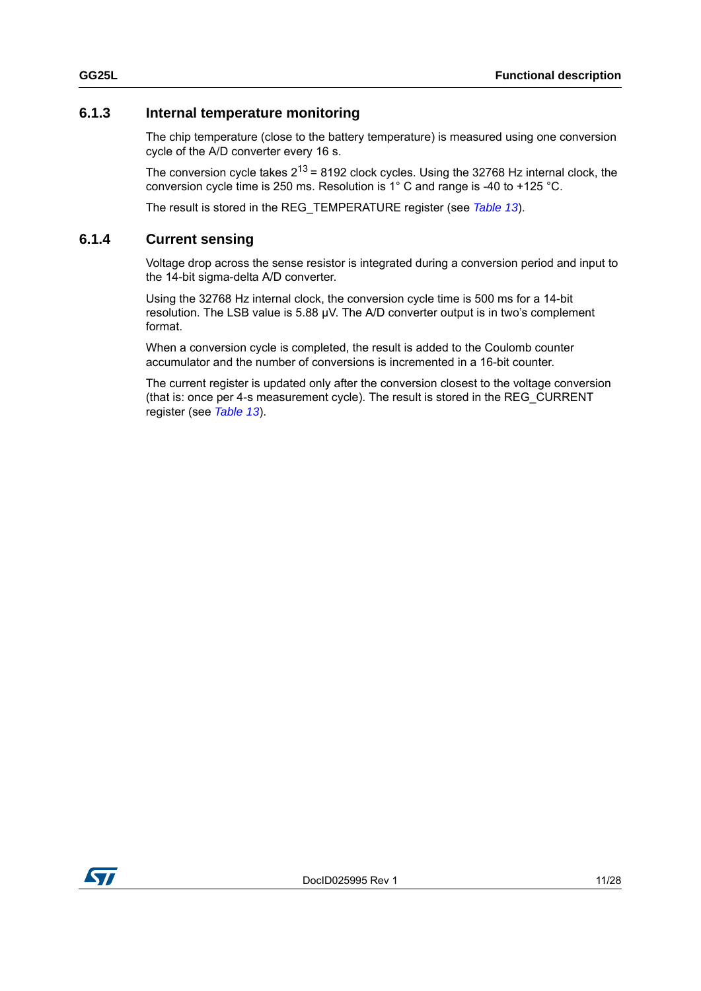#### <span id="page-10-0"></span>**6.1.3 Internal temperature monitoring**

The chip temperature (close to the battery temperature) is measured using one conversion cycle of the A/D converter every 16 s.

The conversion cycle takes  $2^{13}$  = 8192 clock cycles. Using the 32768 Hz internal clock, the conversion cycle time is 250 ms. Resolution is 1° C and range is -40 to +125 °C.

The result is stored in the REG\_TEMPERATURE register (see *[Table](#page-20-2) 13*).

#### <span id="page-10-1"></span>**6.1.4 Current sensing**

Voltage drop across the sense resistor is integrated during a conversion period and input to the 14-bit sigma-delta A/D converter.

Using the 32768 Hz internal clock, the conversion cycle time is 500 ms for a 14-bit resolution. The LSB value is 5.88 µV. The A/D converter output is in two's complement format.

When a conversion cycle is completed, the result is added to the Coulomb counter accumulator and the number of conversions is incremented in a 16-bit counter.

The current register is updated only after the conversion closest to the voltage conversion (that is: once per 4-s measurement cycle). The result is stored in the REG\_CURRENT register (see *[Table](#page-20-2) 13*).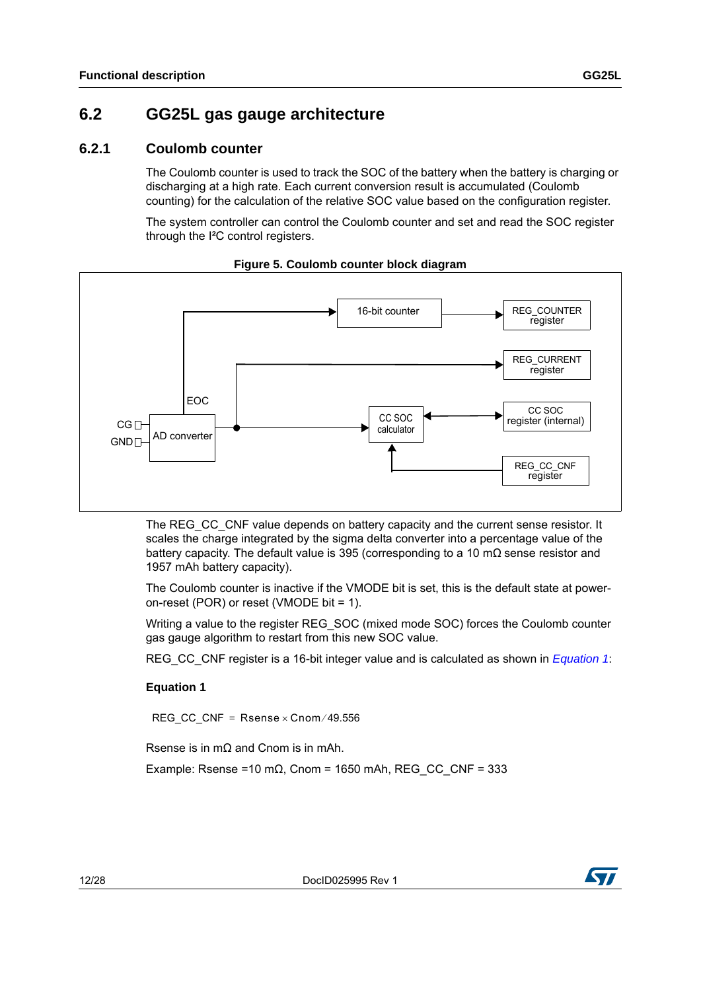### <span id="page-11-0"></span>**6.2 GG25L gas gauge architecture**

#### <span id="page-11-1"></span>**6.2.1 Coulomb counter**

The Coulomb counter is used to track the SOC of the battery when the battery is charging or discharging at a high rate. Each current conversion result is accumulated (Coulomb counting) for the calculation of the relative SOC value based on the configuration register.

The system controller can control the Coulomb counter and set and read the SOC register through the I²C control registers.



#### **Figure 5. Coulomb counter block diagram**

The REG\_CC\_CNF value depends on battery capacity and the current sense resistor. It scales the charge integrated by the sigma delta converter into a percentage value of the battery capacity. The default value is 395 (corresponding to a 10 m $\Omega$  sense resistor and 1957 mAh battery capacity).

The Coulomb counter is inactive if the VMODE bit is set, this is the default state at poweron-reset (POR) or reset (VMODE bit = 1).

Writing a value to the register REG\_SOC (mixed mode SOC) forces the Coulomb counter gas gauge algorithm to restart from this new SOC value.

REG\_CC\_CNF register is a 16-bit integer value and is calculated as shown in *[Equation 1](#page-11-2)*:

#### <span id="page-11-2"></span>**Equation 1**

REG\_CC\_CNF =  $R$ sense x Cnom / 49.556

Rsense is in mΩ and Cnom is in mAh.

Example: Rsense =10 m $\Omega$ , Cnom = 1650 mAh, REG\_CC\_CNF = 333



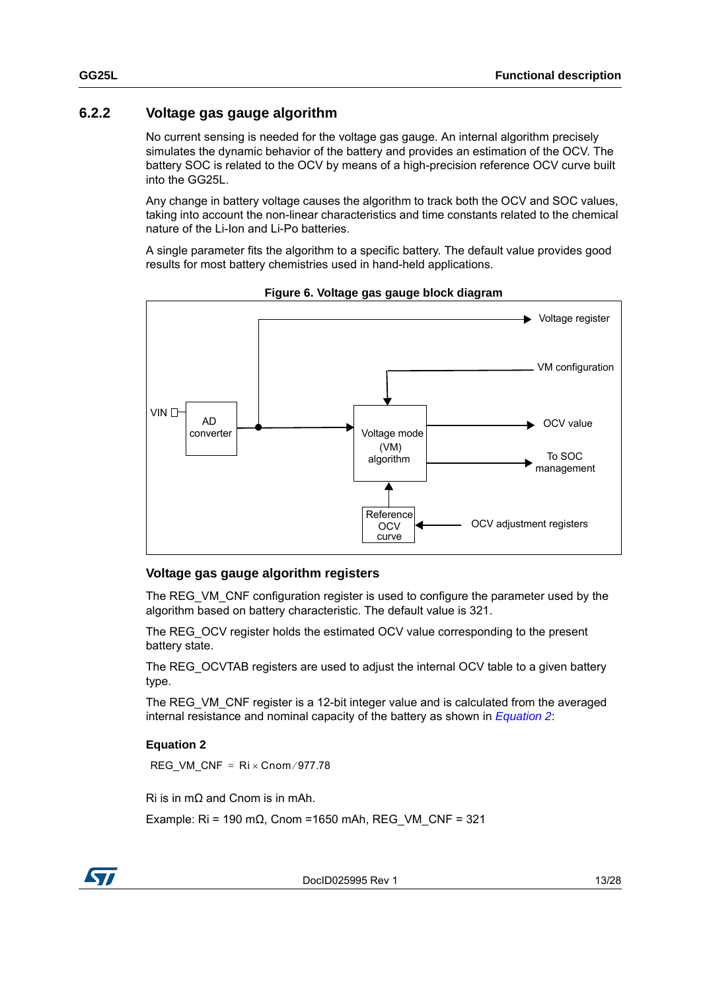### <span id="page-12-0"></span>**6.2.2 Voltage gas gauge algorithm**

No current sensing is needed for the voltage gas gauge. An internal algorithm precisely simulates the dynamic behavior of the battery and provides an estimation of the OCV. The battery SOC is related to the OCV by means of a high-precision reference OCV curve built into the GG25L.

Any change in battery voltage causes the algorithm to track both the OCV and SOC values, taking into account the non-linear characteristics and time constants related to the chemical nature of the Li-Ion and Li-Po batteries.

A single parameter fits the algorithm to a specific battery. The default value provides good results for most battery chemistries used in hand-held applications.



**Figure 6. Voltage gas gauge block diagram**

#### **Voltage gas gauge algorithm registers**

The REG\_VM\_CNF configuration register is used to configure the parameter used by the algorithm based on battery characteristic. The default value is 321.

The REG\_OCV register holds the estimated OCV value corresponding to the present battery state.

The REG\_OCVTAB registers are used to adjust the internal OCV table to a given battery type.

The REG\_VM\_CNF register is a 12-bit integer value and is calculated from the averaged internal resistance and nominal capacity of the battery as shown in *[Equation 2](#page-12-1)*:

#### <span id="page-12-1"></span>**Equation 2**

REG\_VM\_CNF =  $Ri \times \text{Cnom}/977.78$ 

Ri is in mΩ and Cnom is in mAh.

Example: Ri = 190 m $\Omega$ , Cnom = 1650 mAh, REG\_VM\_CNF = 321



DocID025995 Rev 1 13/28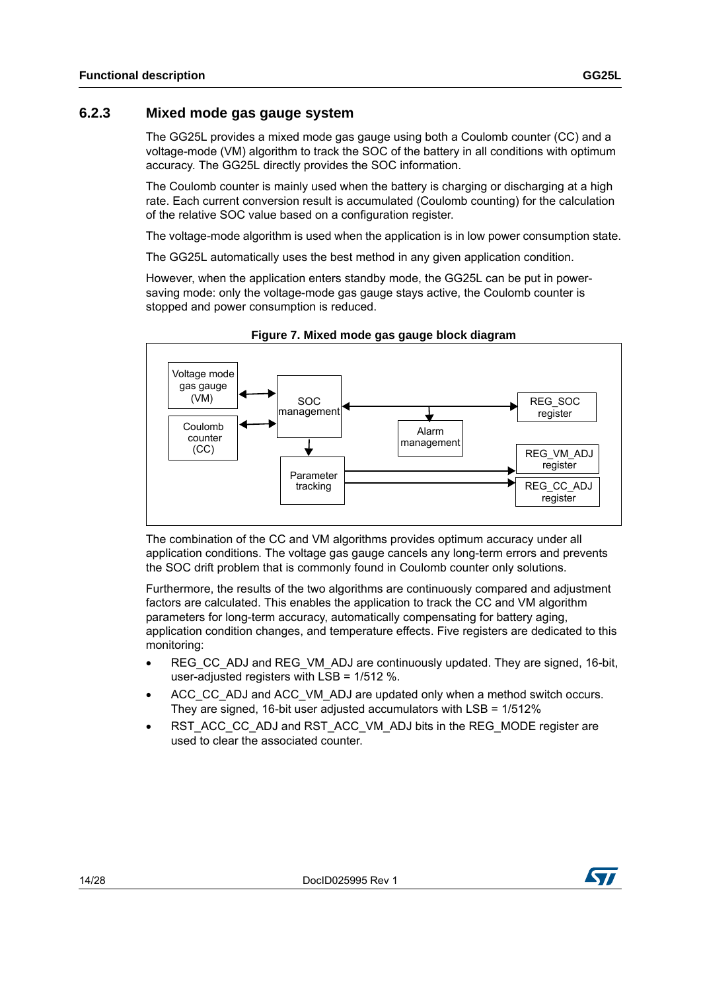#### <span id="page-13-0"></span>**6.2.3 Mixed mode gas gauge system**

The GG25L provides a mixed mode gas gauge using both a Coulomb counter (CC) and a voltage-mode (VM) algorithm to track the SOC of the battery in all conditions with optimum accuracy. The GG25L directly provides the SOC information.

The Coulomb counter is mainly used when the battery is charging or discharging at a high rate. Each current conversion result is accumulated (Coulomb counting) for the calculation of the relative SOC value based on a configuration register.

The voltage-mode algorithm is used when the application is in low power consumption state.

The GG25L automatically uses the best method in any given application condition.

However, when the application enters standby mode, the GG25L can be put in powersaving mode: only the voltage-mode gas gauge stays active, the Coulomb counter is stopped and power consumption is reduced.



**Figure 7. Mixed mode gas gauge block diagram**

The combination of the CC and VM algorithms provides optimum accuracy under all application conditions. The voltage gas gauge cancels any long-term errors and prevents the SOC drift problem that is commonly found in Coulomb counter only solutions.

Furthermore, the results of the two algorithms are continuously compared and adjustment factors are calculated. This enables the application to track the CC and VM algorithm parameters for long-term accuracy, automatically compensating for battery aging, application condition changes, and temperature effects. Five registers are dedicated to this monitoring:

- REG\_CC\_ADJ and REG\_VM\_ADJ are continuously updated. They are signed, 16-bit, user-adjusted registers with LSB = 1/512 %.
- ACC\_CC\_ADJ and ACC\_VM\_ADJ are updated only when a method switch occurs. They are signed, 16-bit user adjusted accumulators with LSB = 1/512%
- RST\_ACC\_CC\_ADJ and RST\_ACC\_VM\_ADJ bits in the REG\_MODE register are used to clear the associated counter.

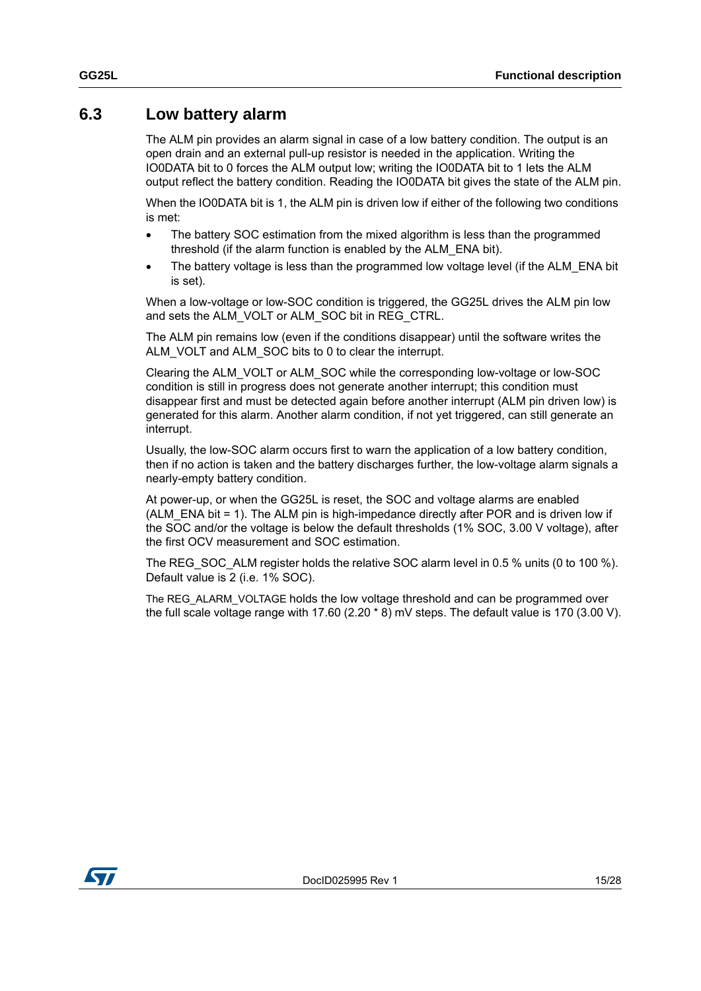### <span id="page-14-0"></span>**6.3 Low battery alarm**

The ALM pin provides an alarm signal in case of a low battery condition. The output is an open drain and an external pull-up resistor is needed in the application. Writing the IO0DATA bit to 0 forces the ALM output low; writing the IO0DATA bit to 1 lets the ALM output reflect the battery condition. Reading the IO0DATA bit gives the state of the ALM pin.

When the IO0DATA bit is 1, the ALM pin is driven low if either of the following two conditions is met:

- The battery SOC estimation from the mixed algorithm is less than the programmed threshold (if the alarm function is enabled by the ALM\_ENA bit).
- The battery voltage is less than the programmed low voltage level (if the ALM\_ENA bit is set).

When a low-voltage or low-SOC condition is triggered, the GG25L drives the ALM pin low and sets the ALM\_VOLT or ALM\_SOC bit in REG\_CTRL.

The ALM pin remains low (even if the conditions disappear) until the software writes the ALM\_VOLT and ALM\_SOC bits to 0 to clear the interrupt.

Clearing the ALM\_VOLT or ALM\_SOC while the corresponding low-voltage or low-SOC condition is still in progress does not generate another interrupt; this condition must disappear first and must be detected again before another interrupt (ALM pin driven low) is generated for this alarm. Another alarm condition, if not yet triggered, can still generate an interrupt.

Usually, the low-SOC alarm occurs first to warn the application of a low battery condition, then if no action is taken and the battery discharges further, the low-voltage alarm signals a nearly-empty battery condition.

At power-up, or when the GG25L is reset, the SOC and voltage alarms are enabled (ALM  $ENA$  bit = 1). The ALM pin is high-impedance directly after POR and is driven low if the SOC and/or the voltage is below the default thresholds (1% SOC, 3.00 V voltage), after the first OCV measurement and SOC estimation.

The REG SOC ALM register holds the relative SOC alarm level in 0.5 % units (0 to 100 %). Default value is 2 (i.e. 1% SOC).

The REG\_ALARM\_VOLTAGE holds the low voltage threshold and can be programmed over the full scale voltage range with 17.60 (2.20 \* 8) mV steps. The default value is 170 (3.00 V).

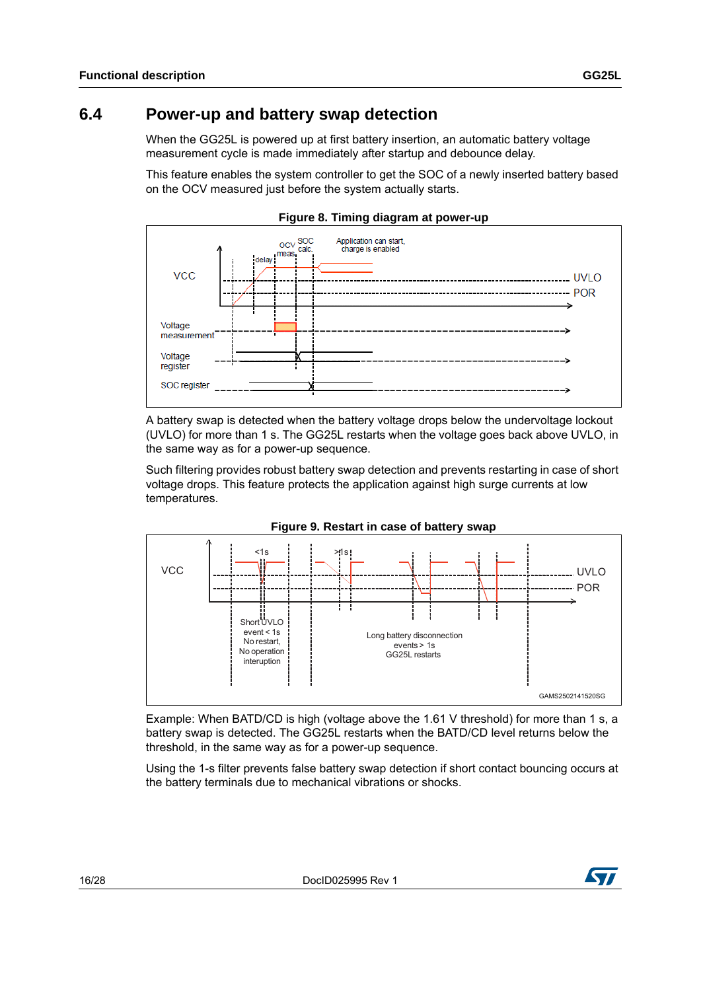### <span id="page-15-0"></span>**6.4 Power-up and battery swap detection**

When the GG25L is powered up at first battery insertion, an automatic battery voltage measurement cycle is made immediately after startup and debounce delay.

This feature enables the system controller to get the SOC of a newly inserted battery based on the OCV measured just before the system actually starts.



**Figure 8. Timing diagram at power-up** 

A battery swap is detected when the battery voltage drops below the undervoltage lockout (UVLO) for more than 1 s. The GG25L restarts when the voltage goes back above UVLO, in the same way as for a power-up sequence.

Such filtering provides robust battery swap detection and prevents restarting in case of short voltage drops. This feature protects the application against high surge currents at low temperatures.





Example: When BATD/CD is high (voltage above the 1.61 V threshold) for more than 1 s, a battery swap is detected. The GG25L restarts when the BATD/CD level returns below the threshold, in the same way as for a power-up sequence.

Using the 1-s filter prevents false battery swap detection if short contact bouncing occurs at the battery terminals due to mechanical vibrations or shocks.

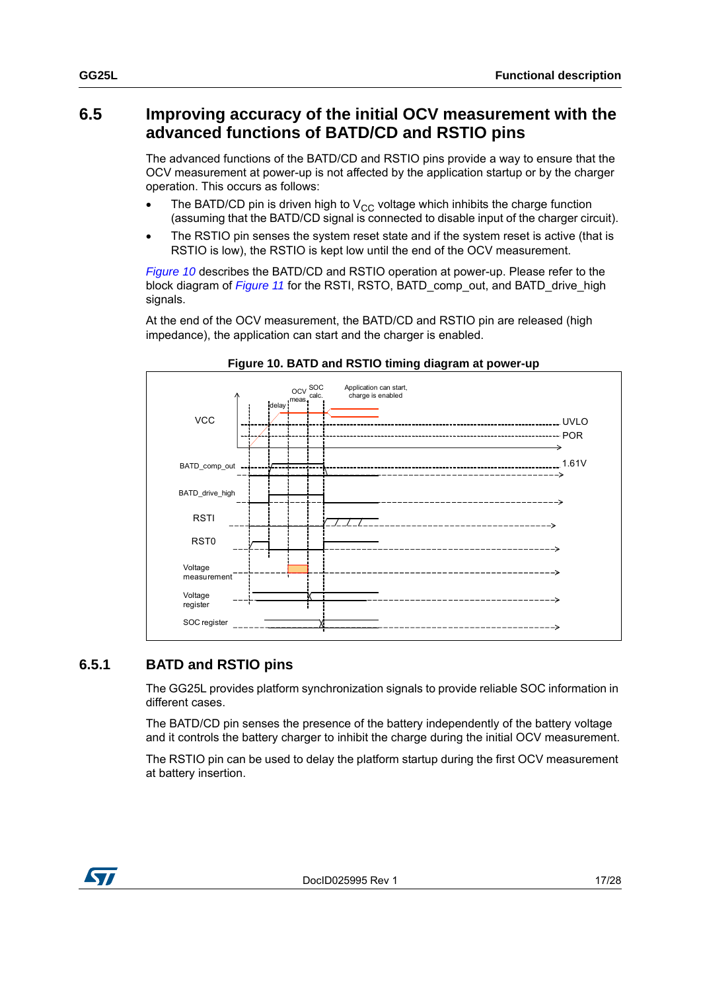### <span id="page-16-0"></span>**6.5 Improving accuracy of the initial OCV measurement with the advanced functions of BATD/CD and RSTIO pins**

The advanced functions of the BATD/CD and RSTIO pins provide a way to ensure that the OCV measurement at power-up is not affected by the application startup or by the charger operation. This occurs as follows:

- The BATD/CD pin is driven high to  $V_{CC}$  voltage which inhibits the charge function (assuming that the BATD/CD signal is connected to disable input of the charger circuit).
- The RSTIO pin senses the system reset state and if the system reset is active (that is RSTIO is low), the RSTIO is kept low until the end of the OCV measurement.

*[Figure](#page-16-2) 10* describes the BATD/CD and RSTIO operation at power-up. Please refer to the block diagram of *[Figure](#page-17-0) 11* for the RSTI, RSTO, BATD\_comp\_out, and BATD\_drive\_high signals.

At the end of the OCV measurement, the BATD/CD and RSTIO pin are released (high impedance), the application can start and the charger is enabled.

<span id="page-16-2"></span>

#### **Figure 10. BATD and RSTIO timing diagram at power-up**

#### <span id="page-16-1"></span>**6.5.1 BATD and RSTIO pins**

The GG25L provides platform synchronization signals to provide reliable SOC information in different cases.

The BATD/CD pin senses the presence of the battery independently of the battery voltage and it controls the battery charger to inhibit the charge during the initial OCV measurement.

The RSTIO pin can be used to delay the platform startup during the first OCV measurement at battery insertion.

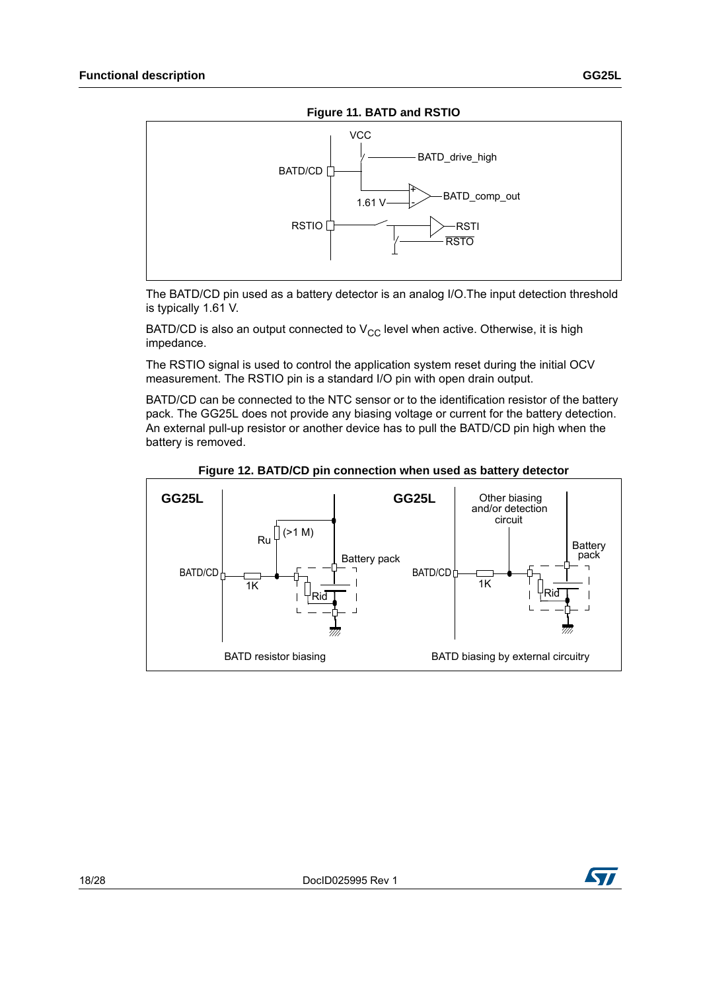

<span id="page-17-0"></span>

The BATD/CD pin used as a battery detector is an analog I/O.The input detection threshold is typically 1.61 V.

BATD/CD is also an output connected to  $V_{CC}$  level when active. Otherwise, it is high impedance.

The RSTIO signal is used to control the application system reset during the initial OCV measurement. The RSTIO pin is a standard I/O pin with open drain output.

BATD/CD can be connected to the NTC sensor or to the identification resistor of the battery pack. The GG25L does not provide any biasing voltage or current for the battery detection. An external pull-up resistor or another device has to pull the BATD/CD pin high when the battery is removed.



**Figure 12. BATD/CD pin connection when used as battery detector** 

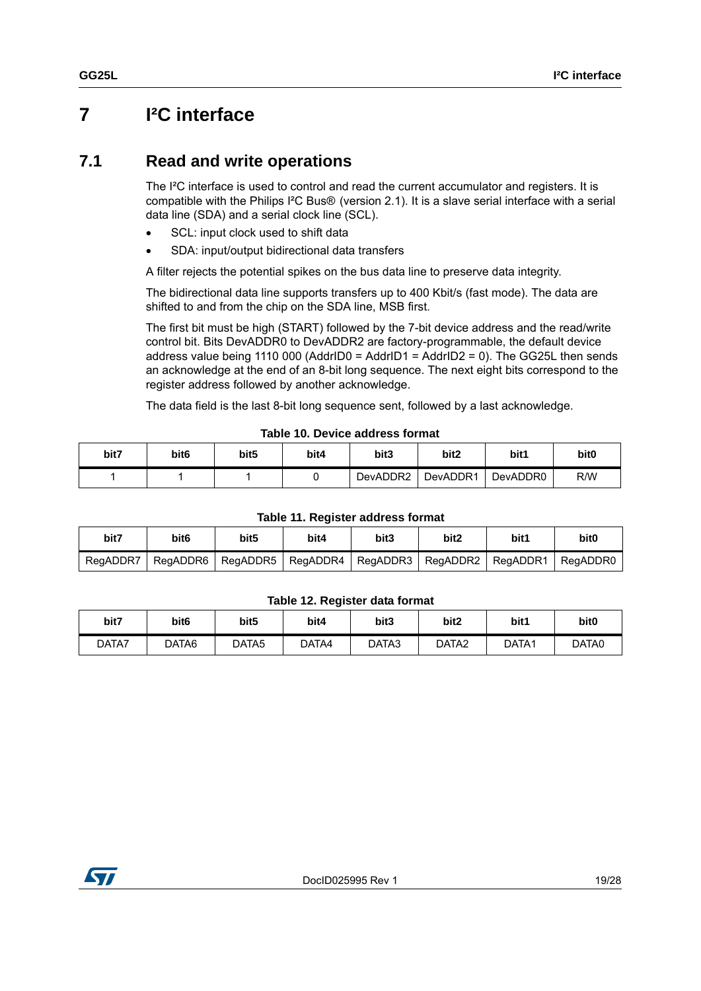## <span id="page-18-0"></span>**7 I²C interface**

### <span id="page-18-1"></span>**7.1 Read and write operations**

The I²C interface is used to control and read the current accumulator and registers. It is compatible with the Philips I²C Bus® (version 2.1). It is a slave serial interface with a serial data line (SDA) and a serial clock line (SCL).

- SCL: input clock used to shift data
- SDA: input/output bidirectional data transfers

A filter rejects the potential spikes on the bus data line to preserve data integrity.

The bidirectional data line supports transfers up to 400 Kbit/s (fast mode). The data are shifted to and from the chip on the SDA line, MSB first.

The first bit must be high (START) followed by the 7-bit device address and the read/write control bit. Bits DevADDR0 to DevADDR2 are factory-programmable, the default device address value being 1110 000 (AddrID0 = AddrID1 = AddrID2 = 0). The GG25L then sends an acknowledge at the end of an 8-bit long sequence. The next eight bits correspond to the register address followed by another acknowledge.

The data field is the last 8-bit long sequence sent, followed by a last acknowledge.

| bit7 | bit6 | bit <sub>5</sub> | bit4 | bit3     | bit2     | bit1     | bit <sub>0</sub> |  |
|------|------|------------------|------|----------|----------|----------|------------------|--|
|      |      |                  |      | DevADDR2 | DevADDR1 | DevADDR0 | R/W              |  |

#### **Table 10. Device address format**

#### **Table 11. Register address format**

| bit7     | bit6     | bit <sub>5</sub> | bit4       | bit3     | bit <sub>2</sub> | bit1       | bit0     |
|----------|----------|------------------|------------|----------|------------------|------------|----------|
| RegADDR7 | RegADDR6 | RegADDR5         | ReaADDR4 I | RegADDR3 | l RegADDR2       | I RegADDR1 | RegADDR0 |

#### **Table 12. Register data format**

| bit7  | bit <sub>6</sub> | bit <sub>5</sub>  | bit4  | bit3  | bit2              | bit1  | bit0  |
|-------|------------------|-------------------|-------|-------|-------------------|-------|-------|
| DATA7 | DATA6            | DATA <sub>5</sub> | DATA4 | DATA3 | DATA <sub>2</sub> | DATA1 | DATA0 |

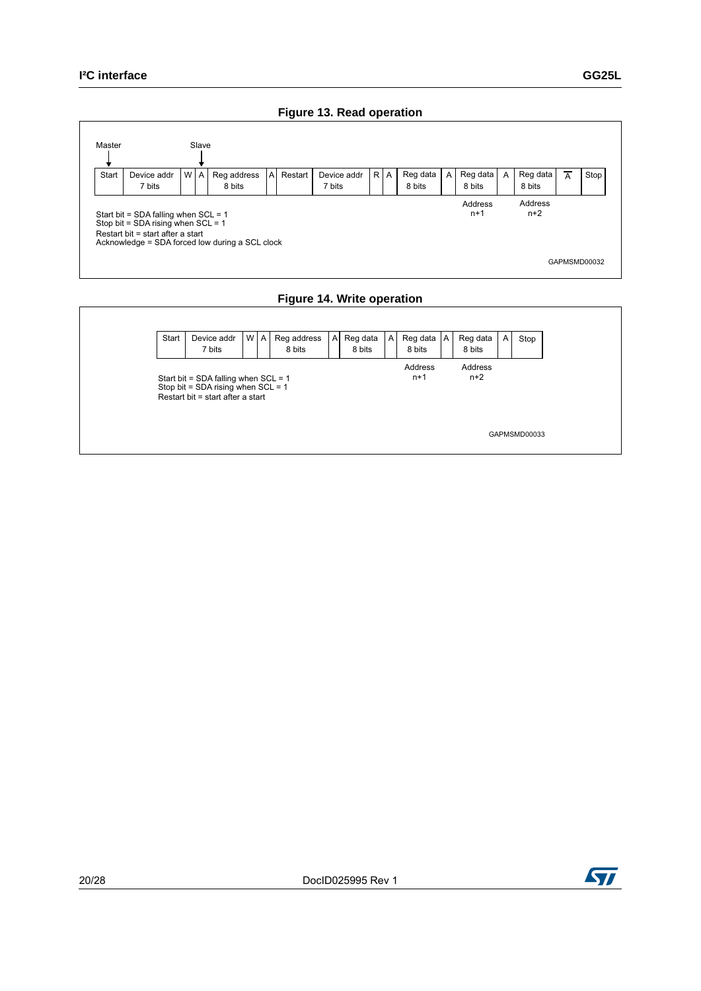#### **Figure 13. Read operation**



#### **Figure 14. Write operation**



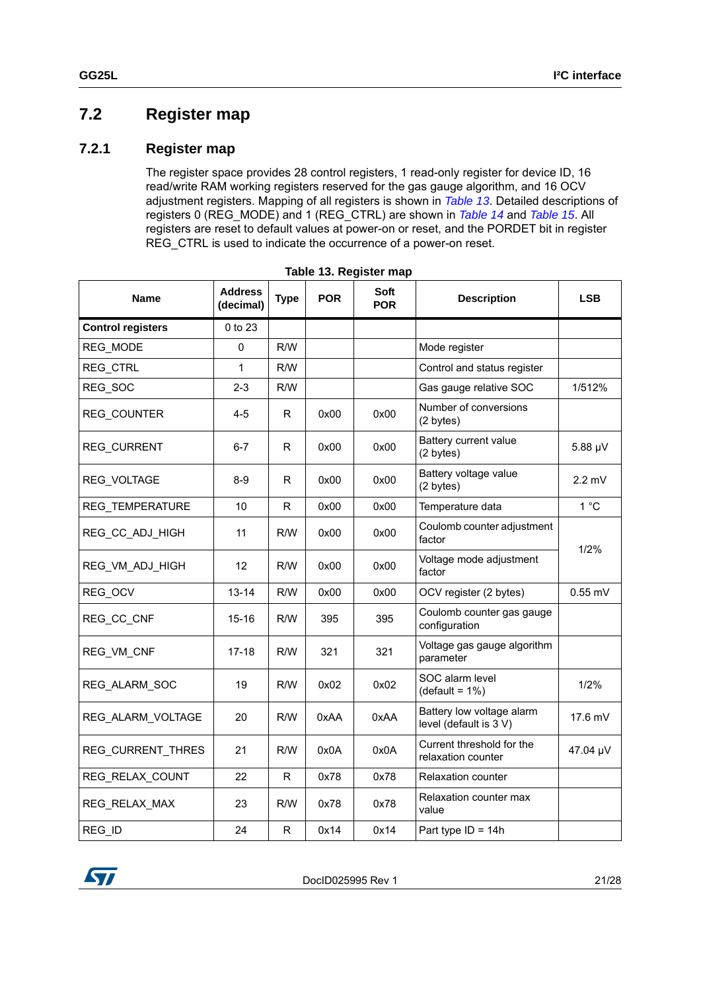### <span id="page-20-0"></span>**7.2 Register map**

#### <span id="page-20-1"></span>**7.2.1 Register map**

The register space provides 28 control registers, 1 read-only register for device ID, 16 read/write RAM working registers reserved for the gas gauge algorithm, and 16 OCV adjustment registers. Mapping of all registers is shown in *[Table](#page-20-2) 13*. Detailed descriptions of registers 0 (REG\_MODE) and 1 (REG\_CTRL) are shown in *[Table](#page-22-1) 14* and *[Table](#page-23-0) 15*. All registers are reset to default values at power-on or reset, and the PORDET bit in register REG CTRL is used to indicate the occurrence of a power-on reset.

<span id="page-20-2"></span>

| <b>Name</b>              | <b>Address</b><br>(decimal) | <b>Type</b>  | <b>POR</b> | Soft<br><b>POR</b> | <b>Description</b>                                     | <b>LSB</b> |
|--------------------------|-----------------------------|--------------|------------|--------------------|--------------------------------------------------------|------------|
| <b>Control registers</b> | 0 to 23                     |              |            |                    |                                                        |            |
| REG MODE                 | $\mathbf 0$                 | R/W          |            |                    | Mode register                                          |            |
| <b>REG CTRL</b>          | 1                           | R/W          |            |                    | Control and status register                            |            |
| REG_SOC                  | $2 - 3$                     | R/W          |            |                    | Gas gauge relative SOC                                 | 1/512%     |
| <b>REG COUNTER</b>       | 4-5                         | R            | 0x00       | 0x00               | Number of conversions<br>(2 bytes)                     |            |
| <b>REG CURRENT</b>       | $6 - 7$                     | R            | 0x00       | 0x00               | Battery current value<br>(2 bytes)                     | 5.88 µV    |
| <b>REG VOLTAGE</b>       | $8-9$                       | R            | 0x00       | 0x00               | Battery voltage value<br>$2.2 \text{ mV}$<br>(2 bytes) |            |
| <b>REG TEMPERATURE</b>   | 10                          | R            | 0x00       | 0x00               | Temperature data                                       | 1°C        |
| REG_CC_ADJ_HIGH          | 11                          | R/W          | 0x00       | 0x00               | Coulomb counter adjustment<br>factor                   | 1/2%       |
| REG_VM_ADJ_HIGH          | 12                          | R/W          | 0x00       | 0x00               | Voltage mode adjustment<br>factor                      |            |
| REG_OCV                  | $13 - 14$                   | R/W          | 0x00       | 0x00               | OCV register (2 bytes)                                 | $0.55$ mV  |
| REG_CC_CNF               | $15 - 16$                   | R/W          | 395        | 395                | Coulomb counter gas gauge<br>configuration             |            |
| REG_VM_CNF               | $17-18$                     | R/W          | 321        | 321                | Voltage gas gauge algorithm<br>parameter               |            |
| REG ALARM SOC            | 19                          | R/W          | 0x02       | 0x02               | SOC alarm level<br>$(detault = 1\%)$                   | 1/2%       |
| REG_ALARM_VOLTAGE        | 20                          | R/W          | 0xAA       | 0xAA               | Battery low voltage alarm<br>level (default is 3 V)    | 17.6 mV    |
| REG_CURRENT_THRES        | 21                          | R/W          | 0x0A       | 0x0A               | Current threshold for the<br>relaxation counter        | 47.04 µV   |
| REG_RELAX_COUNT          | 22                          | R            | 0x78       | 0x78               | Relaxation counter                                     |            |
| REG RELAX MAX            | 23                          | R/W          | 0x78       | 0x78               | Relaxation counter max<br>value                        |            |
| REG_ID                   | 24                          | $\mathsf{R}$ | 0x14       | 0x14               | Part type $ID = 14h$                                   |            |

|  |  | Table 13. Register map |  |
|--|--|------------------------|--|
|--|--|------------------------|--|

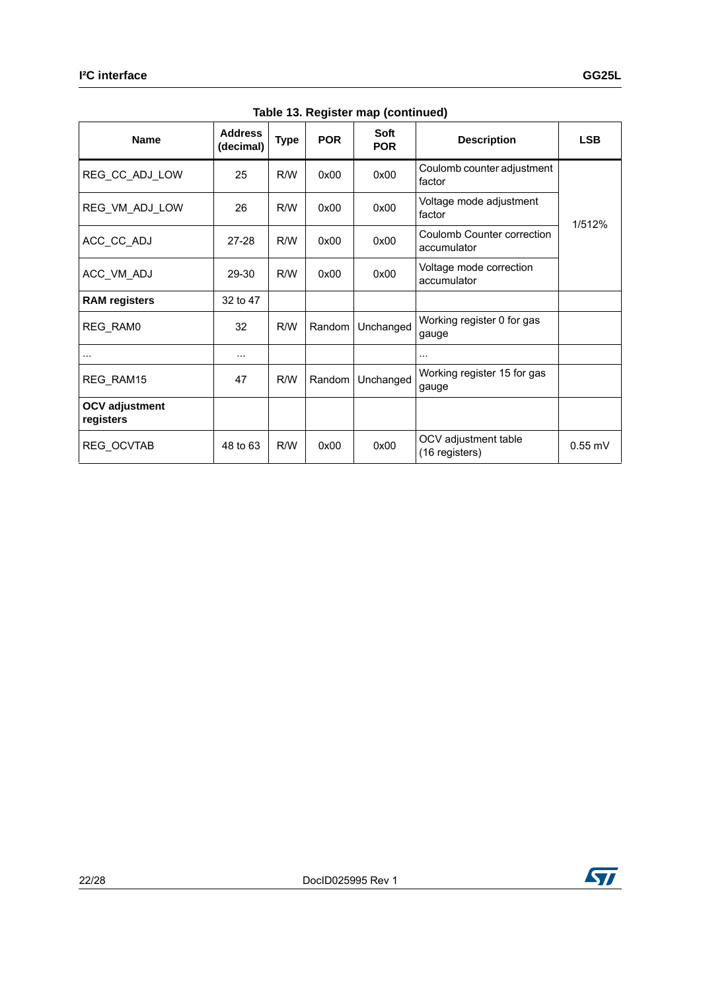|                                    |                             |             |            | ---- ------- -- <i>------------</i>            |                                             |            |
|------------------------------------|-----------------------------|-------------|------------|------------------------------------------------|---------------------------------------------|------------|
| <b>Name</b>                        | <b>Address</b><br>(decimal) | <b>Type</b> | <b>POR</b> | Soft<br><b>POR</b>                             | <b>Description</b>                          | <b>LSB</b> |
| REG_CC_ADJ_LOW                     | 25                          | R/W         | 0x00       | 0x00                                           | Coulomb counter adjustment<br>factor        |            |
| REG_VM_ADJ_LOW                     | 26                          | R/W         | 0x00       | 0x00                                           | Voltage mode adjustment<br>factor<br>1/512% |            |
| ACC_CC_ADJ                         | 27-28                       | R/W         | 0x00       | 0x00                                           | Coulomb Counter correction<br>accumulator   |            |
| ACC_VM_ADJ                         | 29-30                       | R/W         | 0x00       | 0x00                                           | Voltage mode correction<br>accumulator      |            |
| <b>RAM</b> registers               | 32 to 47                    |             |            |                                                |                                             |            |
| REG_RAM0                           | 32                          | R/W         | Random     | Unchanged                                      | Working register 0 for gas<br>gauge         |            |
|                                    | $\cdots$                    |             |            |                                                | .                                           |            |
| REG RAM15                          | 47                          | R/W         | Random     | Unchanged                                      | Working register 15 for gas<br>gauge        |            |
| <b>OCV adjustment</b><br>registers |                             |             |            |                                                |                                             |            |
| REG_OCVTAB                         | 48 to 63                    | R/W         | 0x00       | OCV adjustment table<br>0x00<br>(16 registers) |                                             | $0.55$ mV  |

**Table 13. Register map (continued)**

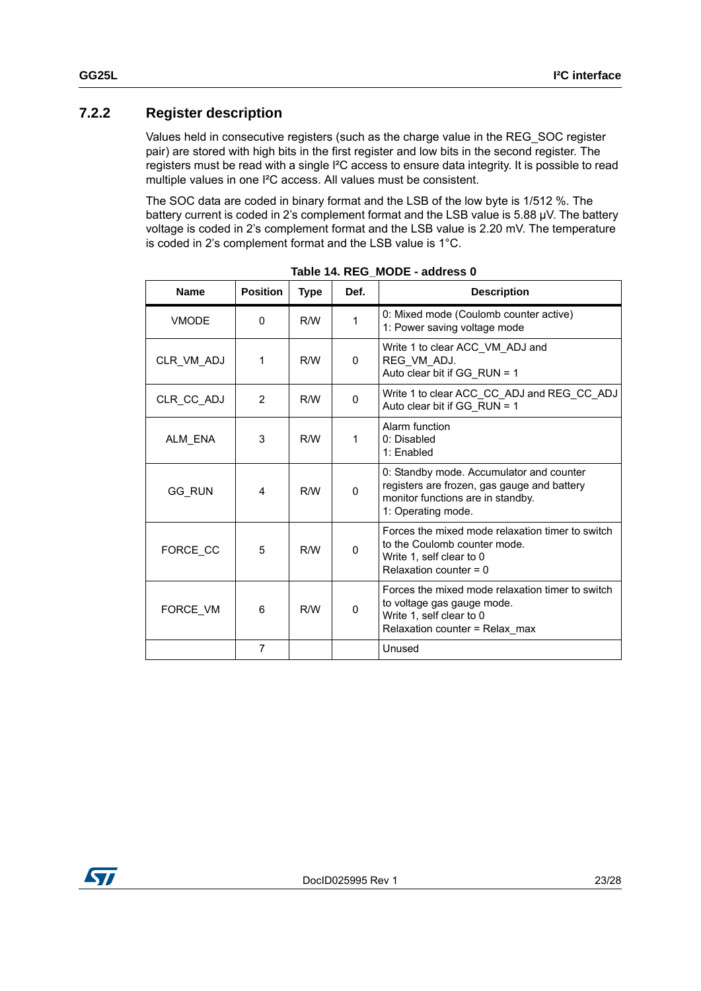#### <span id="page-22-0"></span>**7.2.2 Register description**

Values held in consecutive registers (such as the charge value in the REG\_SOC register pair) are stored with high bits in the first register and low bits in the second register. The registers must be read with a single I²C access to ensure data integrity. It is possible to read multiple values in one I²C access. All values must be consistent.

The SOC data are coded in binary format and the LSB of the low byte is 1/512 %. The battery current is coded in 2's complement format and the LSB value is 5.88 µV. The battery voltage is coded in 2's complement format and the LSB value is 2.20 mV. The temperature is coded in 2's complement format and the LSB value is 1°C.

<span id="page-22-1"></span>

| <b>Name</b>   | <b>Position</b> | <b>Type</b> | Def.         | <b>Description</b>                                                                                                                                 |
|---------------|-----------------|-------------|--------------|----------------------------------------------------------------------------------------------------------------------------------------------------|
| <b>VMODE</b>  | $\Omega$        | R/W         | 1            | 0: Mixed mode (Coulomb counter active)<br>1: Power saving voltage mode                                                                             |
| CLR_VM_ADJ    | 1               | R/W         | $\Omega$     | Write 1 to clear ACC_VM_ADJ and<br>REG_VM_ADJ.<br>Auto clear bit if GG_RUN = 1                                                                     |
| CLR_CC_ADJ    | 2               | R/W         | 0            | Write 1 to clear ACC_CC_ADJ and REG_CC_ADJ<br>Auto clear bit if GG RUN = 1                                                                         |
| ALM_ENA       | 3               | R/W         | 1            | Alarm function<br>0: Disabled<br>1: Enabled                                                                                                        |
| <b>GG RUN</b> | 4               | R/M         | $\Omega$     | 0: Standby mode. Accumulator and counter<br>registers are frozen, gas gauge and battery<br>monitor functions are in standby.<br>1: Operating mode. |
| FORCE CC      | 5               | R/W         | $\mathbf{0}$ | Forces the mixed mode relaxation timer to switch<br>to the Coulomb counter mode.<br>Write 1, self clear to 0<br>Relaxation counter = $0$           |
| FORCE VM      | 6               | R/W         | 0            | Forces the mixed mode relaxation timer to switch<br>to voltage gas gauge mode.<br>Write 1, self clear to 0<br>Relaxation counter = Relax_max       |
|               | $\overline{7}$  |             |              | Unused                                                                                                                                             |

**Table 14. REG\_MODE - address 0**

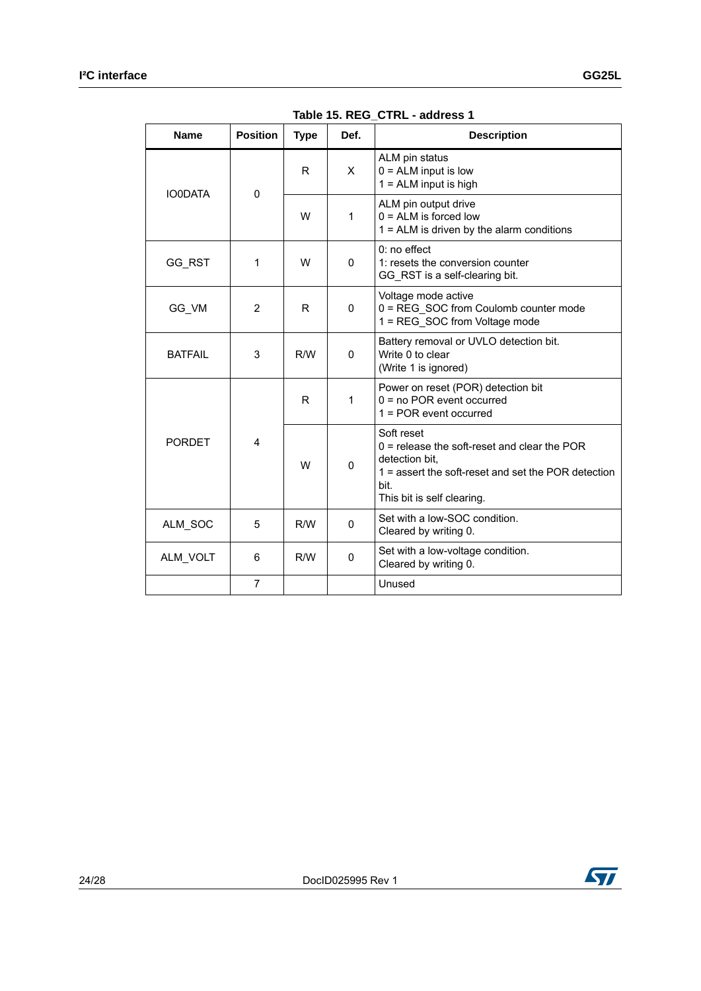<span id="page-23-0"></span>

| <b>Name</b>    | <b>Position</b> | <b>Type</b> | Def.         | <b>Description</b>                                                                                                                                                            |  |  |
|----------------|-----------------|-------------|--------------|-------------------------------------------------------------------------------------------------------------------------------------------------------------------------------|--|--|
| <b>IO0DATA</b> | $\mathbf 0$     | R           | X            | ALM pin status<br>$0 = ALM$ input is low<br>$1 = ALM$ input is high                                                                                                           |  |  |
|                |                 | W           | 1            | ALM pin output drive<br>$0 = ALM$ is forced low<br>$1 = ALM$ is driven by the alarm conditions                                                                                |  |  |
| GG RST         | 1               | W           | $\mathbf{0}$ | $0:$ no effect<br>1: resets the conversion counter<br>GG_RST is a self-clearing bit.                                                                                          |  |  |
| GG_VM          | $\overline{2}$  | R           | 0            | Voltage mode active<br>0 = REG SOC from Coulomb counter mode<br>1 = REG SOC from Voltage mode                                                                                 |  |  |
| <b>BATFAIL</b> | 3               | R/W         | 0            | Battery removal or UVLO detection bit.<br>Write 0 to clear<br>(Write 1 is ignored)                                                                                            |  |  |
|                |                 | R           | 1            | Power on reset (POR) detection bit<br>$0 = no POR$ event occurred<br>$1 = POR$ event occurred                                                                                 |  |  |
| <b>PORDET</b>  | 4               | W           | 0            | Soft reset<br>$0$ = release the soft-reset and clear the POR<br>detection bit,<br>$1$ = assert the soft-reset and set the POR detection<br>bit.<br>This bit is self clearing. |  |  |
| ALM_SOC        | 5               | R/W         | 0            | Set with a low-SOC condition.<br>Cleared by writing 0.                                                                                                                        |  |  |
| ALM_VOLT       | 6               | R/W         | 0            | Set with a low-voltage condition.<br>Cleared by writing 0.                                                                                                                    |  |  |
|                | $\overline{7}$  |             |              | Unused                                                                                                                                                                        |  |  |

**Table 15. REG\_CTRL - address 1**

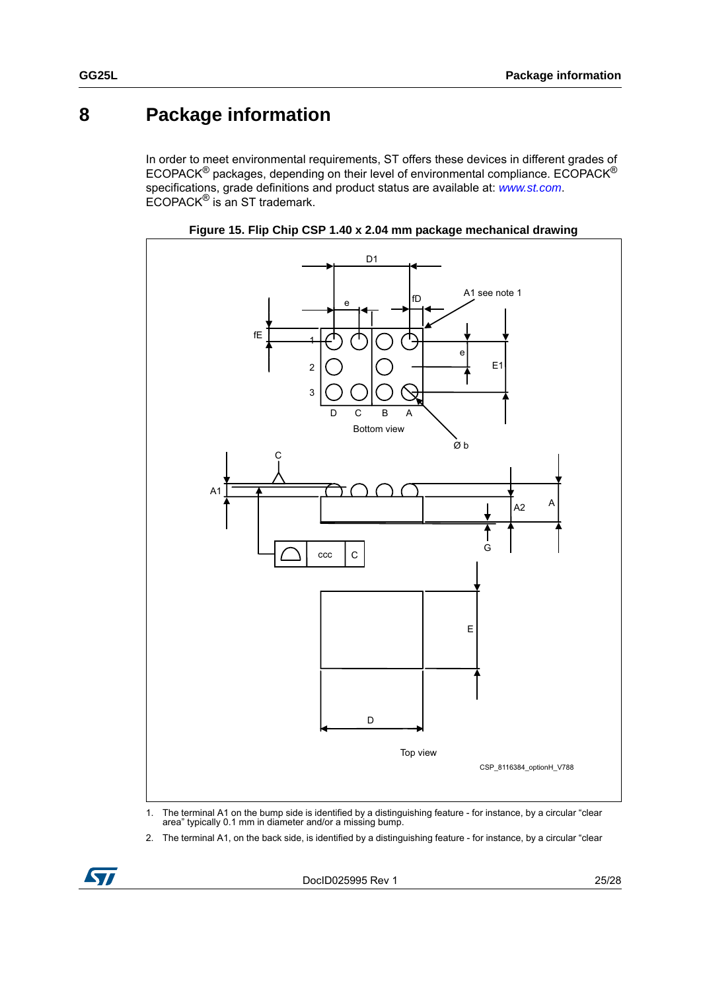## <span id="page-24-0"></span>**8 Package information**

In order to meet environmental requirements, ST offers these devices in different grades of ECOPACK® packages, depending on their level of environmental compliance. ECOPACK® specifications, grade definitions and product status are available at: *[www.st.com](http://www.st.com)*. ECOPACK® is an ST trademark.





- 1. The terminal A1 on the bump side is identified by a distinguishing feature for instance, by a circular "clear area" typically 0.1 mm in diameter and/or a missing bump.
- 2. The terminal A1, on the back side, is identified by a distinguishing feature for instance, by a circular "clear

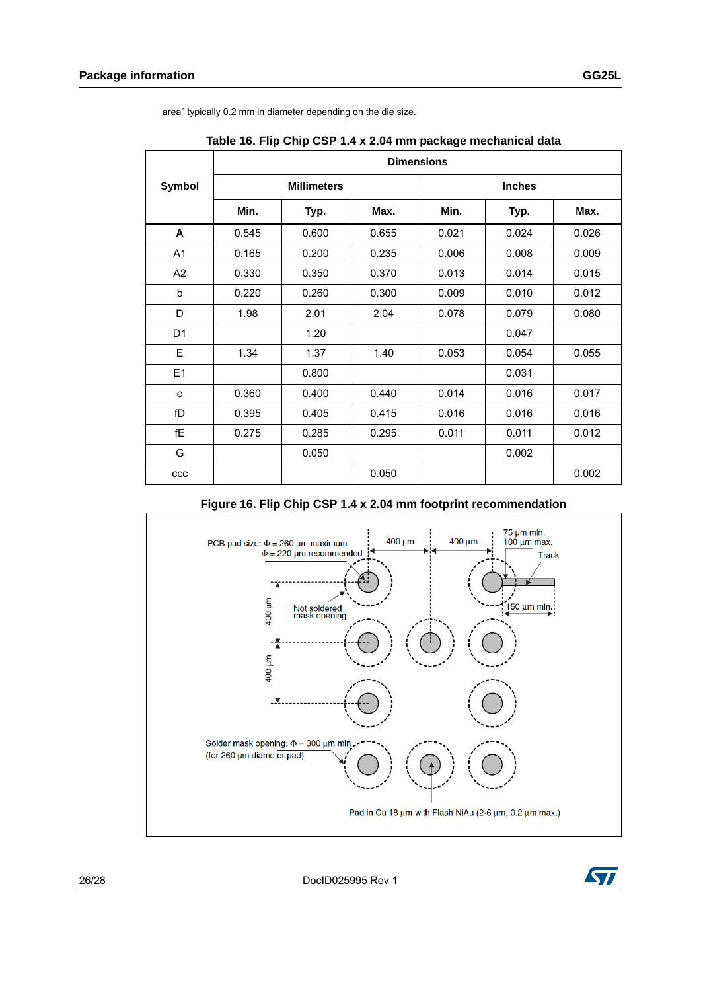|                | <b>Dimensions</b> |                    |       |       |               |       |  |  |  |
|----------------|-------------------|--------------------|-------|-------|---------------|-------|--|--|--|
| Symbol         |                   | <b>Millimeters</b> |       |       | <b>Inches</b> |       |  |  |  |
|                | Min.              | Typ.               | Max.  | Min.  | Typ.          | Max.  |  |  |  |
| A              | 0.545             | 0.600              | 0.655 | 0.021 | 0.024         | 0.026 |  |  |  |
| A <sub>1</sub> | 0.165             | 0.200              | 0.235 | 0.006 | 0.008         | 0.009 |  |  |  |
| A <sub>2</sub> | 0.330             | 0.350              | 0.370 | 0.013 | 0.014         | 0.015 |  |  |  |
| b              | 0.220             | 0.260              | 0.300 | 0.009 | 0.010         | 0.012 |  |  |  |
| D              | 1.98              | 2.01               | 2.04  | 0.078 | 0.079         | 0.080 |  |  |  |
| D <sub>1</sub> |                   | 1.20               |       |       | 0.047         |       |  |  |  |
| E              | 1.34              | 1.37               | 1.40  | 0.053 | 0.054         | 0.055 |  |  |  |
| E1             |                   | 0.800              |       |       | 0.031         |       |  |  |  |
| e              | 0.360             | 0.400              | 0.440 | 0.014 | 0.016         | 0.017 |  |  |  |
| fD             | 0.395             | 0.405              | 0.415 | 0.016 | 0.016         | 0.016 |  |  |  |
| fE             | 0.275             | 0.285              | 0.295 | 0.011 | 0.011         | 0.012 |  |  |  |
| G              |                   | 0.050              |       |       | 0.002         |       |  |  |  |
| ccc            |                   |                    | 0.050 |       |               | 0.002 |  |  |  |

area" typically 0.2 mm in diameter depending on the die size.

**Table 16. Flip Chip CSP 1.4 x 2.04 mm package mechanical data**

#### **Figure 16. Flip Chip CSP 1.4 x 2.04 mm footprint recommendation**





26/28 DocID025995 Rev 1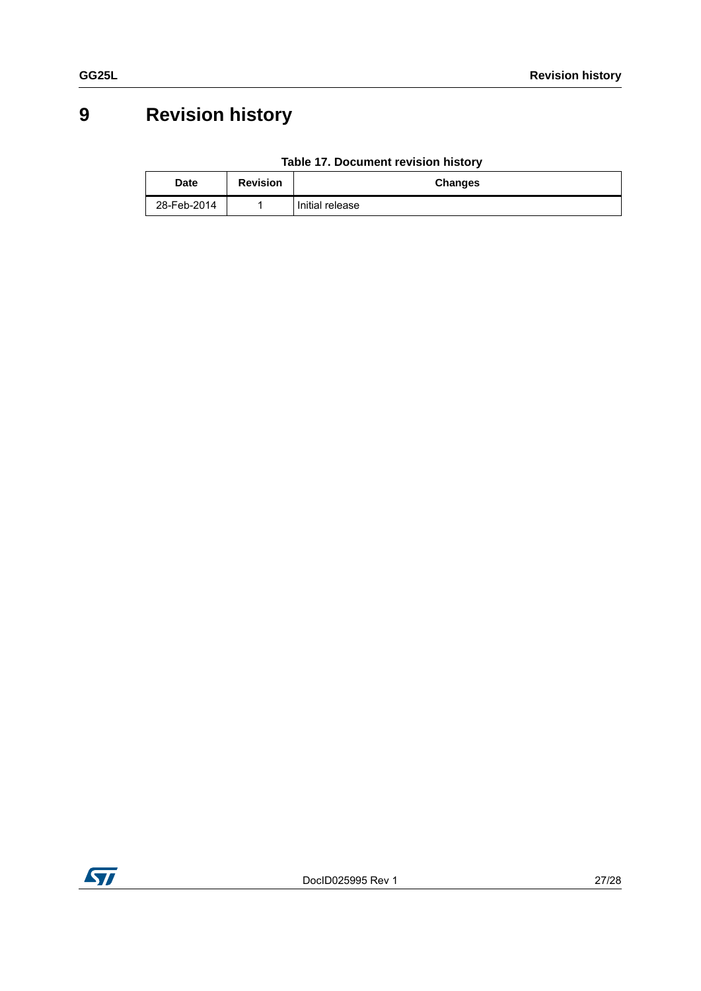# <span id="page-26-0"></span>**9 Revision history**

| Table 17. Document revision history |
|-------------------------------------|
|-------------------------------------|

| <b>Date</b> | <b>Revision</b> | <b>Changes</b>  |
|-------------|-----------------|-----------------|
| 28-Feb-2014 |                 | Initial release |